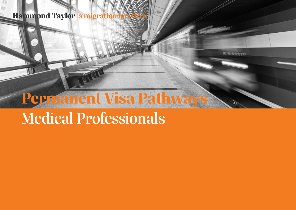## **Hammond Taylor a migration**

# **Permanent Visa Pathways**

 $m$  $m$  $m$ 

## Medical Professionals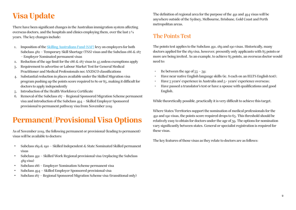## **Visa Update**

There have been significant changes in the Australian immigration system affecting overseas doctors, and the hospitals and clinics employing them, over the last 2 ½ years. The key changes include:

- 1. Imposition of the [Skilling Australians Fund \(SAF\)](https://hammondtaylor.com.au/saf-levy-implementation/) levy on employers for both Subclass 482 – Temporary Skill Shortage (TSS) visas and the Subclass 186 & 187 – Employer Nominated permanent visas
- 2. Reduction of the age limit for the 186 & 187 visas to 45 unless exemptions apply
- 3. Requirement to advertise or Labour Market Test for General Medical Practitioner and Medical Professionals nec ANZSCO classifications
- 4. Substantial reduction in places available under the Skilled Migration visa program pushing up the points score required to 80 or 85, making it difficult for doctors to apply independently
- 5. Introduction of the Health Workforce Certificate
- 6. Removal of the Subclass 187 Regional Sponsored Migration Scheme permanent visa and introduction of the Subclass 494 – Skilled Employer Sponsored provisional to permanent pathway visa from November 2019

## **Permanent/Provisional Visa Options**

As of November 2019, the following permanent or provisional (leading to permanent) visas will be available to doctors:

- Subclass 189 & 190 Skilled Independent & State Nominated Skilled permanent visas
- Subclass 491 Skilled Work Regional provisional visa (replacing the Subclass 489 visa)
- Subclass 186 Employer Nomination Scheme permanent visa
- Subclass 494 Skilled Employer Sponsored provisional visa
- Subclass 187 Regional Sponsored Migration Scheme visa (transitional only)

The definition of regional area for the purpose of the 491 and 494 visas will be anywhere outside of the Sydney, Melbourne, Brisbane, Gold Coast and Perth metropolitan areas.

#### The Points Test

The points test applies to the Subclass 491, 189 and 190 visas. Historically, many doctors applied for the 189 visa, however, presently only applicants with 85 points or more are being invited. As an example, to achieve 85 points, an overseas doctor would need to:

- Be between the age of  $33 39$ ;
- Have near native English language skills (ie. 8 each on an IELTS English test);
- Have  $\frac{1}{2}$  years' experience in Australia and  $\frac{1}{2}$  years' experience overseas;
- Have passed a translator's test or have a spouse with qualifications and good English.

While theoretically possible, practically it is very difficult to achieve this target.

Where States/Territories support the nomination of medical professionals for the 491 and 190 visas, the points score required drops to 65. This threshold should be relatively easy to obtain for doctors under the age of 39. The options for nomination vary significantly between states. General or specialist registration is required for these visas.

The key features of those visas as they relate to doctors are as follows: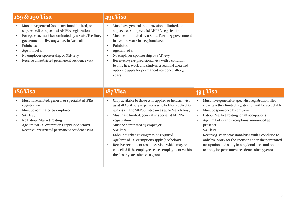| 189 & 190 Visa                                                                                                                                                                                                                                                                                                                                                       | <b>491 Visa</b>                                                                                                                                                                                                                                                                                                                                                                                                                                                                                                                                                                                        |                                                                                                                                                                                                                                                                                                                                                                                                                                                                                                                         |
|----------------------------------------------------------------------------------------------------------------------------------------------------------------------------------------------------------------------------------------------------------------------------------------------------------------------------------------------------------------------|--------------------------------------------------------------------------------------------------------------------------------------------------------------------------------------------------------------------------------------------------------------------------------------------------------------------------------------------------------------------------------------------------------------------------------------------------------------------------------------------------------------------------------------------------------------------------------------------------------|-------------------------------------------------------------------------------------------------------------------------------------------------------------------------------------------------------------------------------------------------------------------------------------------------------------------------------------------------------------------------------------------------------------------------------------------------------------------------------------------------------------------------|
| Must have general (not provisional, limited, or<br>supervised) or specialist AHPRA registration<br>For 190 visa, must be nominated by a State/Territory<br>$\bullet$<br>government to live anywhere in Australia<br>Points test<br>$\bullet$<br>Age limit of 45<br>$\bullet$<br>No employer sponsorship or SAF levy<br>Receive unrestricted permanent residence visa | Must have general (not provisional, limited, or<br>$\bullet$<br>supervised) or specialist AHPRA registration<br>Must be nominated by a State/Territory government<br>$\bullet$<br>to live and work in a regional area<br>Points test<br>$\bullet$<br>Age limit of $45$<br>$\bullet$<br>No employer sponsorship or SAF levy<br>Receive 5-year provisional visa with a condition<br>$\bullet$<br>to only live, work and study in a regional area and<br>option to apply for permanent residence after 3<br>years                                                                                         |                                                                                                                                                                                                                                                                                                                                                                                                                                                                                                                         |
| <b>186 Visa</b>                                                                                                                                                                                                                                                                                                                                                      | <b>187 Visa</b>                                                                                                                                                                                                                                                                                                                                                                                                                                                                                                                                                                                        | 494 Visa                                                                                                                                                                                                                                                                                                                                                                                                                                                                                                                |
| Must have limited, general or specialist AHPRA<br>registration<br>Must be nominated by employer<br><b>SAF</b> levy<br>$\bullet$<br><b>No Labour Market Testing</b><br>$\bullet$<br>Age limit of 45, exemptions apply (see below)<br>Receive unrestricted permanent residence visa                                                                                    | Only available to those who applied or held 457 visa<br>$\bullet$<br>as at 18 April 2017 or persons who held or applied for<br>482 visa in the MLTSSL stream as at 20 March 2019)<br>Must have limited, general or specialist AHPRA<br>registration<br>Must be nominated by employer<br>$\bullet$<br><b>SAF</b> levy<br>$\bullet$<br>Labour Market Testing may be required<br>$\bullet$<br>Age limit of $45$ , exemptions apply (see below)<br>$\bullet$<br>Receive permanent residence visa, which may be<br>cancelled if the employee ceases employment within<br>the first 2 years after visa grant | Must have general or specialist registration. Not<br>clear whether limited registration will be acceptable<br>Must be sponsored by employer<br>Labour Market Testing for all occupations<br>Age limit of 45 (no exemptions announced at<br>$\bullet$<br>present)<br><b>SAF</b> levy<br>$\bullet$<br>Receive 5-year provisional visa with a condition to<br>only live, work for the sponsor and in the nominated<br>occupation and study in a regional area and option<br>to apply for permanent residence after 3 years |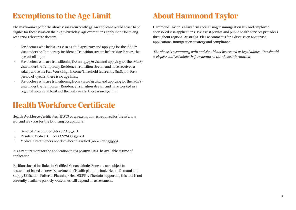## **Exemptions to the Age Limit**

The maximum age for the above visas is currently 45. An applicant would cease to be eligible for these visas on their 45th birthday. Age exemptions apply in the following scenarios relevant to doctors:

- For doctors who held a 457 visa as at 18 April 2017 and applying for the 186/187 visa under the Temporary Residence Transition stream before March 2022, the age cut off is 50;
- For doctors who are transitioning from a 457/482 visa and applying for the 186/187 visa under the Temporary Residence Transition stream and have received a salary above the Fair Work High Income Threshold (currently \$158,500) for a period of 3 years, there is no age limit;
- For doctors who are transitioning from a 457/482 visa and applying for the 186/187 visa under the Temporary Residence Transition stream and have worked in a regional area for at least  $2$  of the last  $7$  years, there is no age limit.

## **Health Workforce Certificate**

Health Workforce Certificates (HWC) or an exemption, is required for the 482, 494, 186, and 187 visas for the following occupations:

- General Practitioner (ANZSCO 253111)
- Resident Medical Officer (ANZSCO 253112)
- Medical Practitioners not elsewhere classified (ANZSCO 253999).

It is a requirement for the application that a positive HWC be available at time of application.

Positions based in clinics in Modified Monash Model Zone 1-2 are subject to assessment based on new Department of Health planning tool, 'Health Demand and Supply Utilisation Patterns Planning (HeaDSUPP)'. The data supporting this tool is not currently available publicly. Outcomes will depend on assessment.

## **About Hammond Taylor**

Hammond Taylor is a law firm specialising in immigration law and employer sponsored visa applications. We assist private and public health services providers throughout regional Australia. Please contact us for a discussion about visa applications, immigration strategy and compliance.

*The above is a summary only and should not be treated as legal advice. You should seek personalised advice before acting on the above information.*